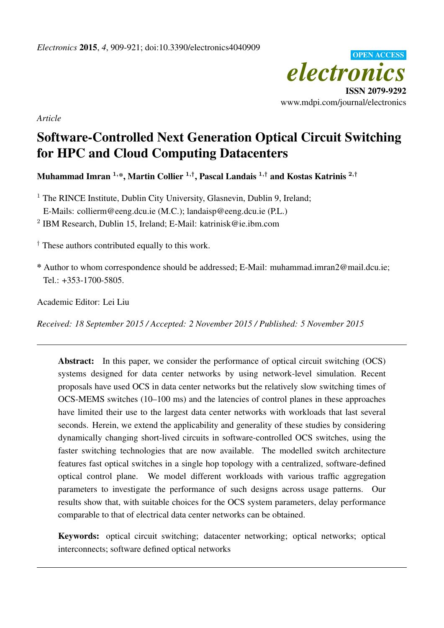

*Article*

# Software-Controlled Next Generation Optical Circuit Switching for HPC and Cloud Computing Datacenters

Muhammad Imran  $^{1,\ast},$  Martin Collier  $^{1,\dagger},$  Pascal Landais  $^{1,\dagger}$  and Kostas Katrinis  $^{2,\dagger}$ 

<sup>1</sup> The RINCE Institute, Dublin City University, Glasnevin, Dublin 9, Ireland;

E-Mails: collierm@eeng.dcu.ie (M.C.); landaisp@eeng.dcu.ie (P.L.)

2 IBM Research, Dublin 15, Ireland; E-Mail: katrinisk@ie.ibm.com

 $\dagger$  These authors contributed equally to this work.

\* Author to whom correspondence should be addressed; E-Mail: muhammad.imran2@mail.dcu.ie; Tel.: +353-1700-5805.

Academic Editor: Lei Liu

*Received: 18 September 2015 / Accepted: 2 November 2015 / Published: 5 November 2015*

Abstract: In this paper, we consider the performance of optical circuit switching (OCS) systems designed for data center networks by using network-level simulation. Recent proposals have used OCS in data center networks but the relatively slow switching times of OCS-MEMS switches (10–100 ms) and the latencies of control planes in these approaches have limited their use to the largest data center networks with workloads that last several seconds. Herein, we extend the applicability and generality of these studies by considering dynamically changing short-lived circuits in software-controlled OCS switches, using the faster switching technologies that are now available. The modelled switch architecture features fast optical switches in a single hop topology with a centralized, software-defined optical control plane. We model different workloads with various traffic aggregation parameters to investigate the performance of such designs across usage patterns. Our results show that, with suitable choices for the OCS system parameters, delay performance comparable to that of electrical data center networks can be obtained.

Keywords: optical circuit switching; datacenter networking; optical networks; optical interconnects; software defined optical networks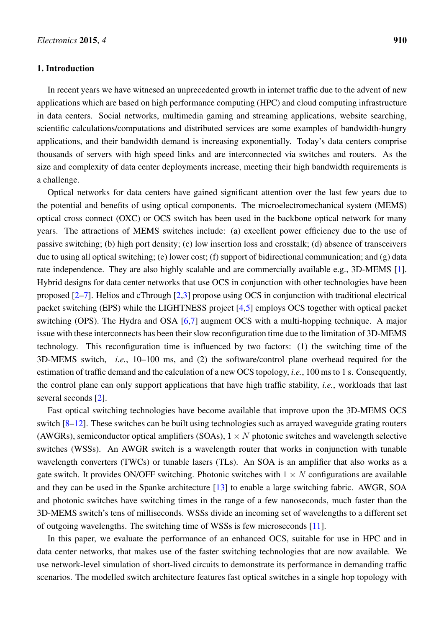## 1. Introduction

In recent years we have witnesed an unprecedented growth in internet traffic due to the advent of new applications which are based on high performance computing (HPC) and cloud computing infrastructure in data centers. Social networks, multimedia gaming and streaming applications, website searching, scientific calculations/computations and distributed services are some examples of bandwidth-hungry applications, and their bandwidth demand is increasing exponentially. Today's data centers comprise thousands of servers with high speed links and are interconnected via switches and routers. As the size and complexity of data center deployments increase, meeting their high bandwidth requirements is a challenge.

Optical networks for data centers have gained significant attention over the last few years due to the potential and benefits of using optical components. The microelectromechanical system (MEMS) optical cross connect (OXC) or OCS switch has been used in the backbone optical network for many years. The attractions of MEMS switches include: (a) excellent power efficiency due to the use of passive switching; (b) high port density; (c) low insertion loss and crosstalk; (d) absence of transceivers due to using all optical switching; (e) lower cost; (f) support of bidirectional communication; and (g) data rate independence. They are also highly scalable and are commercially available e.g., 3D-MEMS [\[1\]](#page-11-0). Hybrid designs for data center networks that use OCS in conjunction with other technologies have been proposed [\[2](#page-11-1)[–7\]](#page-11-2). Helios and cThrough [\[2,](#page-11-1)[3\]](#page-11-3) propose using OCS in conjunction with traditional electrical packet switching (EPS) while the LIGHTNESS project [\[4,](#page-11-4)[5\]](#page-11-5) employs OCS together with optical packet switching (OPS). The Hydra and OSA [\[6,](#page-11-6)[7\]](#page-11-2) augment OCS with a multi-hopping technique. A major issue with these interconnects has been their slow reconfiguration time due to the limitation of 3D-MEMS technology. This reconfiguration time is influenced by two factors: (1) the switching time of the 3D-MEMS switch, *i.e.*, 10–100 ms, and (2) the software/control plane overhead required for the estimation of traffic demand and the calculation of a new OCS topology, *i.e.*, 100 ms to 1 s. Consequently, the control plane can only support applications that have high traffic stability, *i.e.*, workloads that last several seconds [\[2\]](#page-11-1).

Fast optical switching technologies have become available that improve upon the 3D-MEMS OCS switch [\[8](#page-11-7)[–12\]](#page-12-0). These switches can be built using technologies such as arrayed waveguide grating routers (AWGRs), semiconductor optical amplifiers (SOAs),  $1 \times N$  photonic switches and wavelength selective switches (WSSs). An AWGR switch is a wavelength router that works in conjunction with tunable wavelength converters (TWCs) or tunable lasers (TLs). An SOA is an amplifier that also works as a gate switch. It provides ON/OFF switching. Photonic switches with  $1 \times N$  configurations are available and they can be used in the Spanke architecture [\[13\]](#page-12-1) to enable a large switching fabric. AWGR, SOA and photonic switches have switching times in the range of a few nanoseconds, much faster than the 3D-MEMS switch's tens of milliseconds. WSSs divide an incoming set of wavelengths to a different set of outgoing wavelengths. The switching time of WSSs is few microseconds [\[11\]](#page-11-8).

In this paper, we evaluate the performance of an enhanced OCS, suitable for use in HPC and in data center networks, that makes use of the faster switching technologies that are now available. We use network-level simulation of short-lived circuits to demonstrate its performance in demanding traffic scenarios. The modelled switch architecture features fast optical switches in a single hop topology with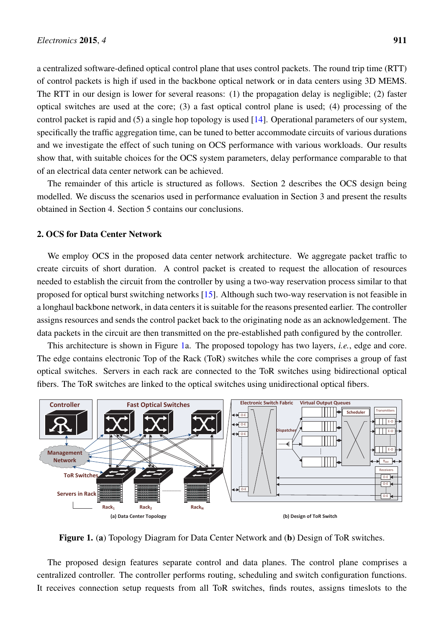a centralized software-defined optical control plane that uses control packets. The round trip time (RTT) of control packets is high if used in the backbone optical network or in data centers using 3D MEMS. The RTT in our design is lower for several reasons: (1) the propagation delay is negligible; (2) faster optical switches are used at the core; (3) a fast optical control plane is used; (4) processing of the control packet is rapid and (5) a single hop topology is used [\[14\]](#page-12-2). Operational parameters of our system, specifically the traffic aggregation time, can be tuned to better accommodate circuits of various durations and we investigate the effect of such tuning on OCS performance with various workloads. Our results show that, with suitable choices for the OCS system parameters, delay performance comparable to that of an electrical data center network can be achieved.

The remainder of this article is structured as follows. Section 2 describes the OCS design being modelled. We discuss the scenarios used in performance evaluation in Section 3 and present the results obtained in Section 4. Section 5 contains our conclusions.

# 2. OCS for Data Center Network

We employ OCS in the proposed data center network architecture. We aggregate packet traffic to create circuits of short duration. A control packet is created to request the allocation of resources needed to establish the circuit from the controller by using a two-way reservation process similar to that proposed for optical burst switching networks [\[15\]](#page-12-3). Although such two-way reservation is not feasible in a longhaul backbone network, in data centers it is suitable for the reasons presented earlier. The controller assigns resources and sends the control packet back to the originating node as an acknowledgement. The data packets in the circuit are then transmitted on the pre-established path configured by the controller.

This architecture is shown in Figure [1a](#page-2-0). The proposed topology has two layers, *i.e.*, edge and core. The edge contains electronic Top of the Rack (ToR) switches while the core comprises a group of fast optical switches. Servers in each rack are connected to the ToR switches using bidirectional optical fibers. The ToR switches are linked to the optical switches using unidirectional optical fibers.

<span id="page-2-0"></span>

Figure 1. (a) Topology Diagram for Data Center Network and (b) Design of ToR switches.

The proposed design features separate control and data planes. The control plane comprises a centralized controller. The controller performs routing, scheduling and switch configuration functions. It receives connection setup requests from all ToR switches, finds routes, assigns timeslots to the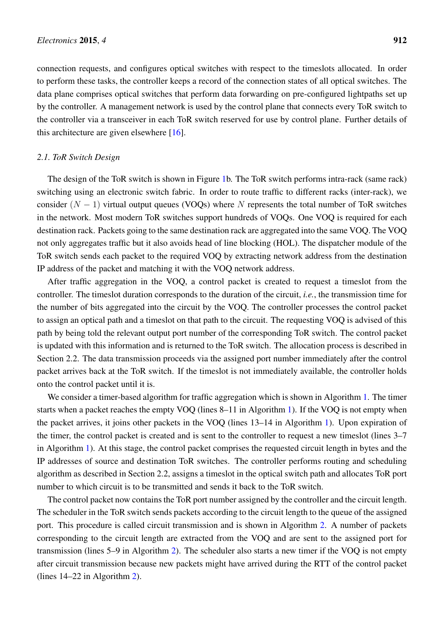connection requests, and configures optical switches with respect to the timeslots allocated. In order to perform these tasks, the controller keeps a record of the connection states of all optical switches. The data plane comprises optical switches that perform data forwarding on pre-configured lightpaths set up by the controller. A management network is used by the control plane that connects every ToR switch to the controller via a transceiver in each ToR switch reserved for use by control plane. Further details of this architecture are given elsewhere [\[16\]](#page-12-4).

#### *2.1. ToR Switch Design*

The design of the ToR switch is shown in Figure [1b](#page-2-0). The ToR switch performs intra-rack (same rack) switching using an electronic switch fabric. In order to route traffic to different racks (inter-rack), we consider  $(N - 1)$  virtual output queues (VOQs) where N represents the total number of ToR switches in the network. Most modern ToR switches support hundreds of VOQs. One VOQ is required for each destination rack. Packets going to the same destination rack are aggregated into the same VOQ. The VOQ not only aggregates traffic but it also avoids head of line blocking (HOL). The dispatcher module of the ToR switch sends each packet to the required VOQ by extracting network address from the destination IP address of the packet and matching it with the VOQ network address.

After traffic aggregation in the VOQ, a control packet is created to request a timeslot from the controller. The timeslot duration corresponds to the duration of the circuit, *i.e.*, the transmission time for the number of bits aggregated into the circuit by the VOQ. The controller processes the control packet to assign an optical path and a timeslot on that path to the circuit. The requesting VOQ is advised of this path by being told the relevant output port number of the corresponding ToR switch. The control packet is updated with this information and is returned to the ToR switch. The allocation process is described in Section 2.2. The data transmission proceeds via the assigned port number immediately after the control packet arrives back at the ToR switch. If the timeslot is not immediately available, the controller holds onto the control packet until it is.

We consider a timer-based algorithm for traffic aggregation which is shown in Algorithm [1.](#page-4-0) The timer starts when a packet reaches the empty VOQ (lines 8–11 in Algorithm [1\)](#page-4-0). If the VOQ is not empty when the packet arrives, it joins other packets in the VOQ (lines 13–14 in Algorithm [1\)](#page-4-0). Upon expiration of the timer, the control packet is created and is sent to the controller to request a new timeslot (lines 3–7 in Algorithm [1\)](#page-4-0). At this stage, the control packet comprises the requested circuit length in bytes and the IP addresses of source and destination ToR switches. The controller performs routing and scheduling algorithm as described in Section 2.2, assigns a timeslot in the optical switch path and allocates ToR port number to which circuit is to be transmitted and sends it back to the ToR switch.

The control packet now contains the ToR port number assigned by the controller and the circuit length. The scheduler in the ToR switch sends packets according to the circuit length to the queue of the assigned port. This procedure is called circuit transmission and is shown in Algorithm [2.](#page-5-0) A number of packets corresponding to the circuit length are extracted from the VOQ and are sent to the assigned port for transmission (lines 5–9 in Algorithm [2\)](#page-5-0). The scheduler also starts a new timer if the VOQ is not empty after circuit transmission because new packets might have arrived during the RTT of the control packet (lines 14–22 in Algorithm [2\)](#page-5-0).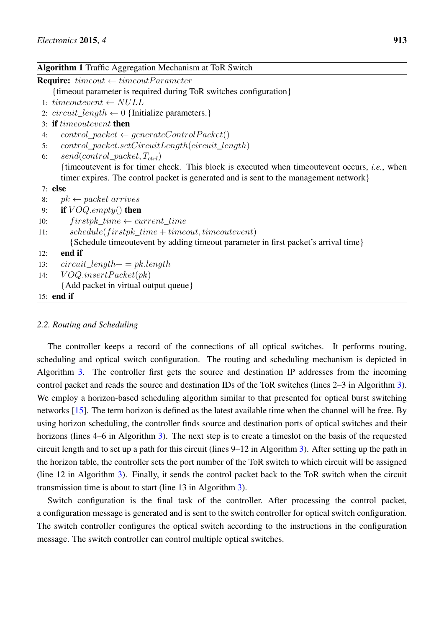<span id="page-4-0"></span>Algorithm 1 Traffic Aggregation Mechanism at ToR Switch

# *2.2. Routing and Scheduling*

The controller keeps a record of the connections of all optical switches. It performs routing, scheduling and optical switch configuration. The routing and scheduling mechanism is depicted in Algorithm [3.](#page-5-1) The controller first gets the source and destination IP addresses from the incoming control packet and reads the source and destination IDs of the ToR switches (lines 2–3 in Algorithm [3\)](#page-5-1). We employ a horizon-based scheduling algorithm similar to that presented for optical burst switching networks [\[15\]](#page-12-3). The term horizon is defined as the latest available time when the channel will be free. By using horizon scheduling, the controller finds source and destination ports of optical switches and their horizons (lines 4–6 in Algorithm [3\)](#page-5-1). The next step is to create a timeslot on the basis of the requested circuit length and to set up a path for this circuit (lines 9–12 in Algorithm [3\)](#page-5-1). After setting up the path in the horizon table, the controller sets the port number of the ToR switch to which circuit will be assigned (line 12 in Algorithm [3\)](#page-5-1). Finally, it sends the control packet back to the ToR switch when the circuit transmission time is about to start (line 13 in Algorithm [3\)](#page-5-1).

Switch configuration is the final task of the controller. After processing the control packet, a configuration message is generated and is sent to the switch controller for optical switch configuration. The switch controller configures the optical switch according to the instructions in the configuration message. The switch controller can control multiple optical switches.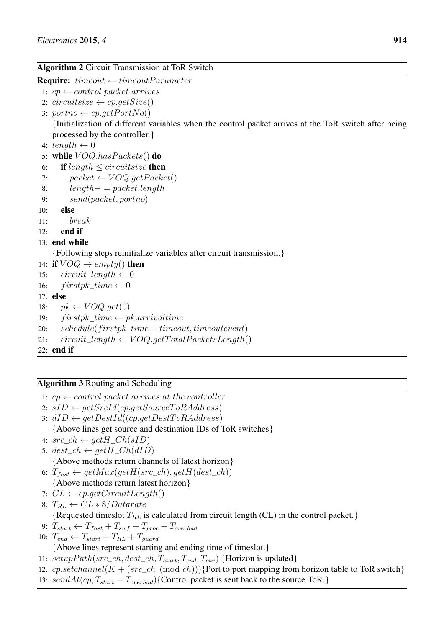# <span id="page-5-0"></span>Algorithm 2 Circuit Transmission at ToR Switch

**Require:**  $timeout \leftarrow timeoutParameter$ 

- 1:  $cp \leftarrow control packet arrives$
- 2: circuitsize  $\leftarrow cp.getSize()$
- 3: portno  $\leftarrow cp.getPortNo()$

{Initialization of different variables when the control packet arrives at the ToR switch after being processed by the controller.}

- 4: length  $\leftarrow 0$
- 5: while  $VOQ.has Packets()$  do
- 6: if length  $\le$  circuitsize then
- 7:  $packet \leftarrow VOQ.getPacket()$
- 8:  $length+ = packet.length$
- 9: send(packet, portno)
- 10: else
- 11: break
- $12:$  end if

```
13: end while
```
{Following steps reinitialize variables after circuit transmission.}

- 14: if  $VOQ \rightarrow empty()$  then
- 15:  $circuit\_length \leftarrow 0$
- 16: firstpk time  $\leftarrow 0$
- 17: else
- 18:  $pk \leftarrow VOQ.get(0)$
- 19:  $firstpk\_time \leftarrow pk.arrayulture$
- 20:  $schedule(firstpk_time + timeout, timeout event)$
- 21:  $circuit\_length \leftarrow VOQ.getTotal PacketsLength()$
- 22: end if

# <span id="page-5-1"></span>Algorithm 3 Routing and Scheduling

- 1:  $\mathit{c}p \leftarrow \mathit{control} \text{ packet} \text{ arrives at the controller}$
- 2:  $sID \leftarrow getSrcId(cp.getSourceToRAddress)$
- 3:  $dID \leftarrow getDestId((cp.getDestToRAddress)$ 
	- {Above lines get source and destination IDs of ToR switches}
- 4:  $src\_ch \leftarrow getH\_Ch(sID)$
- 5:  $dest\_ch \leftarrow getH\_Ch(dID)$

{Above methods return channels of latest horizon}

- 6:  $T_{fast} \leftarrow getMax(getH(src\_ch), getH(det\_ch))$
- {Above methods return latest horizon}
- 7:  $CL \leftarrow cp.getCircuitLength()$
- 8:  $T_{RL} \leftarrow CL * 8/Datarate$

{Requested timeslot  $T_{RL}$  is calculated from circuit length (CL) in the control packet.}

- 9:  $T_{start} \leftarrow T_{fast} + T_{swf} + T_{proc} + T_{overhad}$
- 10:  $T_{end} \leftarrow T_{start} + T_{RL} + T_{quad}$ {Above lines represent starting and ending time of timeslot.}
- 11:  $setupPath(src\_ch, dest\_ch, T_{start}, T_{end}, T_{cur})$  {Horizon is updated}
- 12: cp.setchannel( $K + (src\_ch \pmod{ch})$ ){Port to port mapping from horizon table to ToR switch}
- 13: sendAt(cp,  $T_{start} T_{overhad}$ ){Control packet is sent back to the source ToR.}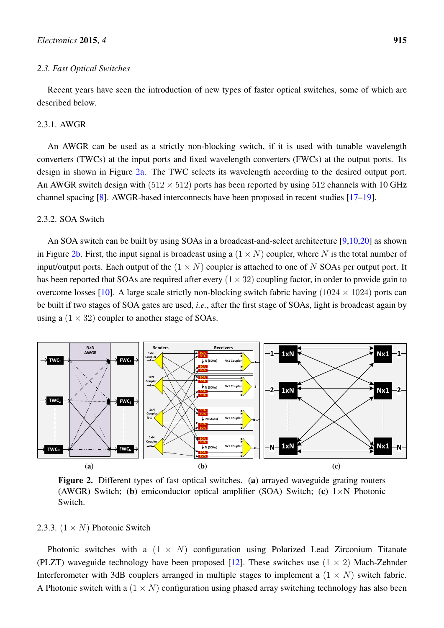#### *2.3. Fast Optical Switches*

Recent years have seen the introduction of new types of faster optical switches, some of which are described below.

#### 2.3.1. AWGR

An AWGR can be used as a strictly non-blocking switch, if it is used with tunable wavelength converters (TWCs) at the input ports and fixed wavelength converters (FWCs) at the output ports. Its design in shown in Figure [2a.](#page-6-0) The TWC selects its wavelength according to the desired output port. An AWGR switch design with  $(512 \times 512)$  ports has been reported by using 512 channels with 10 GHz channel spacing [\[8\]](#page-11-7). AWGR-based interconnects have been proposed in recent studies [\[17](#page-12-5)[–19\]](#page-12-6).

## 2.3.2. SOA Switch

An SOA switch can be built by using SOAs in a broadcast-and-select architecture [\[9](#page-11-9)[,10](#page-11-10)[,20\]](#page-12-7) as shown in Figure [2b.](#page-6-1) First, the input signal is broadcast using a  $(1 \times N)$  coupler, where N is the total number of input/output ports. Each output of the  $(1 \times N)$  coupler is attached to one of N SOAs per output port. It has been reported that SOAs are required after every  $(1 \times 32)$  coupling factor, in order to provide gain to overcome losses [\[10\]](#page-11-10). A large scale strictly non-blocking switch fabric having  $(1024 \times 1024)$  ports can be built if two stages of SOA gates are used, *i.e.*, after the first stage of SOAs, light is broadcast again by using a  $(1 \times 32)$  coupler to another stage of SOAs.



<span id="page-6-2"></span><span id="page-6-1"></span><span id="page-6-0"></span>Figure 2. Different types of fast optical switches. (a) arrayed waveguide grating routers (AWGR) Switch; (b) emiconductor optical amplifier (SOA) Switch; (c)  $1 \times N$  Photonic Switch.

## 2.3.3.  $(1 \times N)$  Photonic Switch

Photonic switches with a  $(1 \times N)$  configuration using Polarized Lead Zirconium Titanate (PLZT) waveguide technology have been proposed [\[12\]](#page-12-0). These switches use  $(1 \times 2)$  Mach-Zehnder Interferometer with 3dB couplers arranged in multiple stages to implement a  $(1 \times N)$  switch fabric. A Photonic switch with a  $(1 \times N)$  configuration using phased array switching technology has also been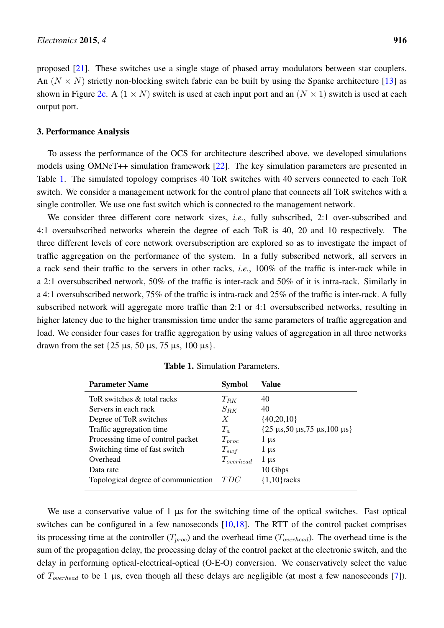proposed [\[21\]](#page-12-8). These switches use a single stage of phased array modulators between star couplers. An  $(N \times N)$  strictly non-blocking switch fabric can be built by using the Spanke architecture [\[13\]](#page-12-1) as shown in Figure [2c.](#page-6-2) A  $(1 \times N)$  switch is used at each input port and an  $(N \times 1)$  switch is used at each output port.

## 3. Performance Analysis

To assess the performance of the OCS for architecture described above, we developed simulations models using OMNeT++ simulation framework [\[22\]](#page-12-9). The key simulation parameters are presented in Table [1.](#page-7-0) The simulated topology comprises 40 ToR switches with 40 servers connected to each ToR switch. We consider a management network for the control plane that connects all ToR switches with a single controller. We use one fast switch which is connected to the management network.

We consider three different core network sizes, *i.e.*, fully subscribed, 2:1 over-subscribed and 4:1 oversubscribed networks wherein the degree of each ToR is 40, 20 and 10 respectively. The three different levels of core network oversubscription are explored so as to investigate the impact of traffic aggregation on the performance of the system. In a fully subscribed network, all servers in a rack send their traffic to the servers in other racks, *i.e.*, 100% of the traffic is inter-rack while in a 2:1 oversubscribed network, 50% of the traffic is inter-rack and 50% of it is intra-rack. Similarly in a 4:1 oversubscribed network, 75% of the traffic is intra-rack and 25% of the traffic is inter-rack. A fully subscribed network will aggregate more traffic than 2:1 or 4:1 oversubscribed networks, resulting in higher latency due to the higher transmission time under the same parameters of traffic aggregation and load. We consider four cases for traffic aggregation by using values of aggregation in all three networks drawn from the set  $\{25 \mu s, 50 \mu s, 75 \mu s, 100 \mu s\}.$ 

<span id="page-7-0"></span>

| <b>Parameter Name</b>               | <b>Symbol</b>  | Value                                                 |
|-------------------------------------|----------------|-------------------------------------------------------|
| ToR switches & total racks          | $T_{RK}$       | 40                                                    |
| Servers in each rack                | $S_{RK}$       | 40                                                    |
| Degree of ToR switches              | X              | ${40,20,10}$                                          |
| Traffic aggregation time            | $T_a$          | $\{25 \,\mu s, 50 \,\mu s, 75 \,\mu s, 100 \,\mu s\}$ |
| Processing time of control packet   | $T_{proc}$     | $1 \mu s$                                             |
| Switching time of fast switch       | $T_{swf}$      | $1 \mu s$                                             |
| Overhead                            | $T_{overhead}$ | $1 \mu s$                                             |
| Data rate                           |                | 10 Gbps                                               |
| Topological degree of communication | TDC            | ${1,10}$ racks                                        |

Table 1. Simulation Parameters.

We use a conservative value of  $1 \mu s$  for the switching time of the optical switches. Fast optical switches can be configured in a few nanoseconds [\[10,](#page-11-10)[18\]](#page-12-10). The RTT of the control packet comprises its processing time at the controller  $(T_{proc})$  and the overhead time  $(T_{overhead})$ . The overhead time is the sum of the propagation delay, the processing delay of the control packet at the electronic switch, and the delay in performing optical-electrical-optical (O-E-O) conversion. We conservatively select the value of  $T_{overhead}$  to be 1 µs, even though all these delays are negligible (at most a few nanoseconds [\[7\]](#page-11-2)).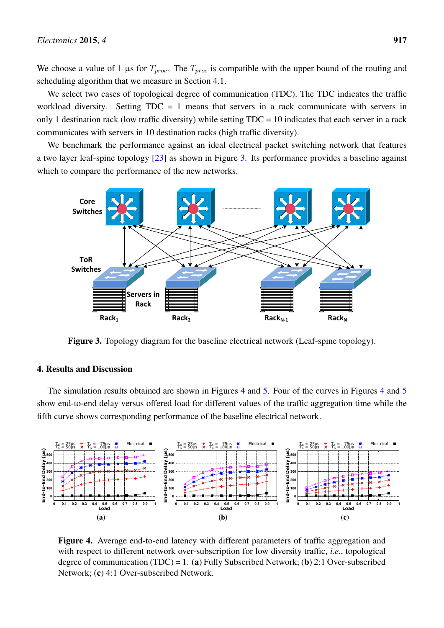We choose a value of 1 µs for  $T_{proc}$ . The  $T_{proc}$  is compatible with the upper bound of the routing and scheduling algorithm that we measure in Section 4.1.

We select two cases of topological degree of communication (TDC). The TDC indicates the traffic workload diversity. Setting  $TDC = 1$  means that servers in a rack communicate with servers in only 1 destination rack (low traffic diversity) while setting TDC = 10 indicates that each server in a rack communicates with servers in 10 destination racks (high traffic diversity).

We benchmark the performance against an ideal electrical packet switching network that features a two layer leaf-spine topology [\[23\]](#page-12-11) as shown in Figure [3.](#page-8-0) Its performance provides a baseline against which to compare the performance of the new networks.

<span id="page-8-0"></span>

**Figure 3.** Topology diagram for the baseline electrical network (Leaf-spine topology).

## 4. Results and Discussion

The simulation results obtained are shown in Figures [4](#page-8-1) and [5.](#page-9-0) Four of the curves in Figures 4 and [5](#page-9-0) show end-to-end delay versus offered load for different values of the traffic aggregation time while the fifth curve shows corresponding performance of the baseline electrical network.

<span id="page-8-1"></span>

<span id="page-8-2"></span>Figure 4. Average end-to-end latency with different parameters of traffic aggregation and with respect to different network over-subscription for low diversity traffic, *i.e.*, topological degree of communication (TDC) = 1. (a) Fully Subscribed Network; (b) 2:1 Over-subscribed Network; (c) 4:1 Over-subscribed Network.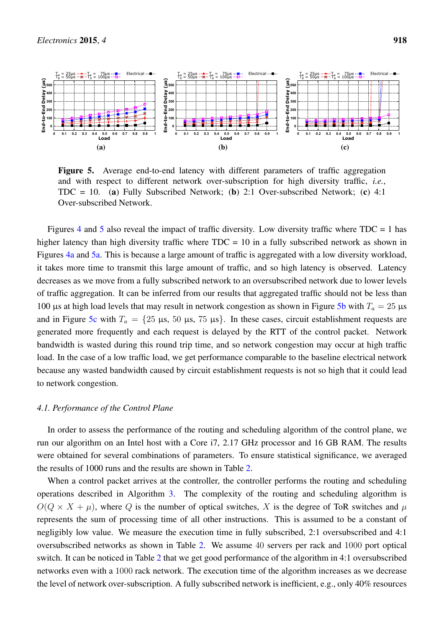<span id="page-9-0"></span>

<span id="page-9-3"></span><span id="page-9-2"></span><span id="page-9-1"></span>Figure 5. Average end-to-end latency with different parameters of traffic aggregation and with respect to different network over-subscription for high diversity traffic, *i.e.*,  $TDC = 10$ . (a) Fully Subscribed Network; (b) 2:1 Over-subscribed Network; (c) 4:1 Over-subscribed Network.

Figures [4](#page-8-1) and [5](#page-9-0) also reveal the impact of traffic diversity. Low diversity traffic where  $TDC = 1$  has higher latency than high diversity traffic where  $TDC = 10$  in a fully subscribed network as shown in Figures [4a](#page-8-2) and [5a.](#page-9-1) This is because a large amount of traffic is aggregated with a low diversity workload, it takes more time to transmit this large amount of traffic, and so high latency is observed. Latency decreases as we move from a fully subscribed network to an oversubscribed network due to lower levels of traffic aggregation. It can be inferred from our results that aggregated traffic should not be less than 100 µs at high load levels that may result in network congestion as shown in Figure [5b](#page-9-2) with  $T_a = 25 \text{ }\mu\text{s}$ and in Figure [5c](#page-9-3) with  $T_a = \{25 \mu s, 50 \mu s, 75 \mu s\}$ . In these cases, circuit establishment requests are generated more frequently and each request is delayed by the RTT of the control packet. Network bandwidth is wasted during this round trip time, and so network congestion may occur at high traffic load. In the case of a low traffic load, we get performance comparable to the baseline electrical network because any wasted bandwidth caused by circuit establishment requests is not so high that it could lead to network congestion.

#### *4.1. Performance of the Control Plane*

In order to assess the performance of the routing and scheduling algorithm of the control plane, we run our algorithm on an Intel host with a Core i7, 2.17 GHz processor and 16 GB RAM. The results were obtained for several combinations of parameters. To ensure statistical significance, we averaged the results of 1000 runs and the results are shown in Table [2.](#page-10-0)

When a control packet arrives at the controller, the controller performs the routing and scheduling operations described in Algorithm [3.](#page-5-1) The complexity of the routing and scheduling algorithm is  $O(Q \times X + \mu)$ , where Q is the number of optical switches, X is the degree of ToR switches and  $\mu$ represents the sum of processing time of all other instructions. This is assumed to be a constant of negligibly low value. We measure the execution time in fully subscribed, 2:1 oversubscribed and 4:1 oversubscribed networks as shown in Table [2.](#page-10-0) We assume 40 servers per rack and 1000 port optical switch. It can be noticed in Table [2](#page-10-0) that we get good performance of the algorithm in 4:1 oversubscribed networks even with a 1000 rack network. The execution time of the algorithm increases as we decrease the level of network over-subscription. A fully subscribed network is inefficient, e.g., only 40% resources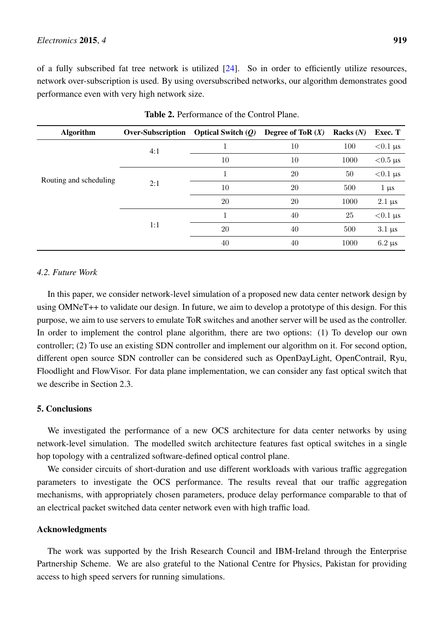of a fully subscribed fat tree network is utilized [\[24\]](#page-12-12). So in order to efficiently utilize resources, network over-subscription is used. By using oversubscribed networks, our algorithm demonstrates good performance even with very high network size.

<span id="page-10-0"></span>

| <b>Algorithm</b>       | <b>Over-Subscription</b> | <b>Optical Switch <math>(Q)</math></b> | Degree of ToR $(X)$ | Racks $(N)$ | Exec. T                     |
|------------------------|--------------------------|----------------------------------------|---------------------|-------------|-----------------------------|
| Routing and scheduling | 4:1                      |                                        | 10                  | 100         | $< 0.1 \,\mu s$             |
|                        |                          | 10                                     | 10                  | 1000        | $< 0.5 \text{ }\mu\text{s}$ |
|                        | 2:1                      |                                        | 20                  | 50          | $< 0.1 \,\mu s$             |
|                        |                          | 10                                     | 20                  | 500         | $1 \mu s$                   |
|                        |                          | 20                                     | 20                  | 1000        | $2.1 \,\mu s$               |
|                        | 1:1                      | $\mathbf{1}$                           | 40                  | 25          | $< 0.1 \,\mu s$             |
|                        |                          | 20                                     | 40                  | 500         | $3.1 \,\mu s$               |
|                        |                          | 40                                     | 40                  | 1000        | $6.2 \mu s$                 |

Table 2. Performance of the Control Plane.

## *4.2. Future Work*

In this paper, we consider network-level simulation of a proposed new data center network design by using OMNeT++ to validate our design. In future, we aim to develop a prototype of this design. For this purpose, we aim to use servers to emulate ToR switches and another server will be used as the controller. In order to implement the control plane algorithm, there are two options: (1) To develop our own controller; (2) To use an existing SDN controller and implement our algorithm on it. For second option, different open source SDN controller can be considered such as OpenDayLight, OpenContrail, Ryu, Floodlight and FlowVisor. For data plane implementation, we can consider any fast optical switch that we describe in Section 2.3.

#### 5. Conclusions

We investigated the performance of a new OCS architecture for data center networks by using network-level simulation. The modelled switch architecture features fast optical switches in a single hop topology with a centralized software-defined optical control plane.

We consider circuits of short-duration and use different workloads with various traffic aggregation parameters to investigate the OCS performance. The results reveal that our traffic aggregation mechanisms, with appropriately chosen parameters, produce delay performance comparable to that of an electrical packet switched data center network even with high traffic load.

#### Acknowledgments

The work was supported by the Irish Research Council and IBM-Ireland through the Enterprise Partnership Scheme. We are also grateful to the National Centre for Physics, Pakistan for providing access to high speed servers for running simulations.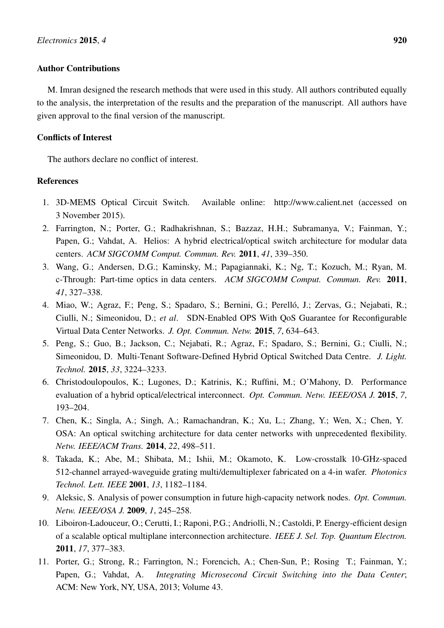## Author Contributions

M. Imran designed the research methods that were used in this study. All authors contributed equally to the analysis, the interpretation of the results and the preparation of the manuscript. All authors have given approval to the final version of the manuscript.

# Conflicts of Interest

The authors declare no conflict of interest.

## References

- <span id="page-11-0"></span>1. 3D-MEMS Optical Circuit Switch. Available online: http://www.calient.net (accessed on 3 November 2015).
- <span id="page-11-1"></span>2. Farrington, N.; Porter, G.; Radhakrishnan, S.; Bazzaz, H.H.; Subramanya, V.; Fainman, Y.; Papen, G.; Vahdat, A. Helios: A hybrid electrical/optical switch architecture for modular data centers. *ACM SIGCOMM Comput. Commun. Rev.* 2011, *41*, 339–350.
- <span id="page-11-3"></span>3. Wang, G.; Andersen, D.G.; Kaminsky, M.; Papagiannaki, K.; Ng, T.; Kozuch, M.; Ryan, M. c-Through: Part-time optics in data centers. *ACM SIGCOMM Comput. Commun. Rev.* 2011, *41*, 327–338.
- <span id="page-11-4"></span>4. Miao, W.; Agraz, F.; Peng, S.; Spadaro, S.; Bernini, G.; Perelló, J.; Zervas, G.; Nejabati, R.; Ciulli, N.; Simeonidou, D.; *et al*. SDN-Enabled OPS With QoS Guarantee for Reconfigurable Virtual Data Center Networks. *J. Opt. Commun. Netw.* 2015, *7*, 634–643.
- <span id="page-11-5"></span>5. Peng, S.; Guo, B.; Jackson, C.; Nejabati, R.; Agraz, F.; Spadaro, S.; Bernini, G.; Ciulli, N.; Simeonidou, D. Multi-Tenant Software-Defined Hybrid Optical Switched Data Centre. *J. Light. Technol.* 2015, *33*, 3224–3233.
- <span id="page-11-6"></span>6. Christodoulopoulos, K.; Lugones, D.; Katrinis, K.; Ruffini, M.; O'Mahony, D. Performance evaluation of a hybrid optical/electrical interconnect. *Opt. Commun. Netw. IEEE/OSA J.* 2015, *7*, 193–204.
- <span id="page-11-2"></span>7. Chen, K.; Singla, A.; Singh, A.; Ramachandran, K.; Xu, L.; Zhang, Y.; Wen, X.; Chen, Y. OSA: An optical switching architecture for data center networks with unprecedented flexibility. *Netw. IEEE/ACM Trans.* 2014, *22*, 498–511.
- <span id="page-11-7"></span>8. Takada, K.; Abe, M.; Shibata, M.; Ishii, M.; Okamoto, K. Low-crosstalk 10-GHz-spaced 512-channel arrayed-waveguide grating multi/demultiplexer fabricated on a 4-in wafer. *Photonics Technol. Lett. IEEE* 2001, *13*, 1182–1184.
- <span id="page-11-9"></span>9. Aleksic, S. Analysis of power consumption in future high-capacity network nodes. *Opt. Commun. Netw. IEEE/OSA J.* 2009, *1*, 245–258.
- <span id="page-11-10"></span>10. Liboiron-Ladouceur, O.; Cerutti, I.; Raponi, P.G.; Andriolli, N.; Castoldi, P. Energy-efficient design of a scalable optical multiplane interconnection architecture. *IEEE J. Sel. Top. Quantum Electron.* 2011, *17*, 377–383.
- <span id="page-11-8"></span>11. Porter, G.; Strong, R.; Farrington, N.; Forencich, A.; Chen-Sun, P.; Rosing T.; Fainman, Y.; Papen, G.; Vahdat, A. *Integrating Microsecond Circuit Switching into the Data Center*; ACM: New York, NY, USA, 2013; Volume 43.